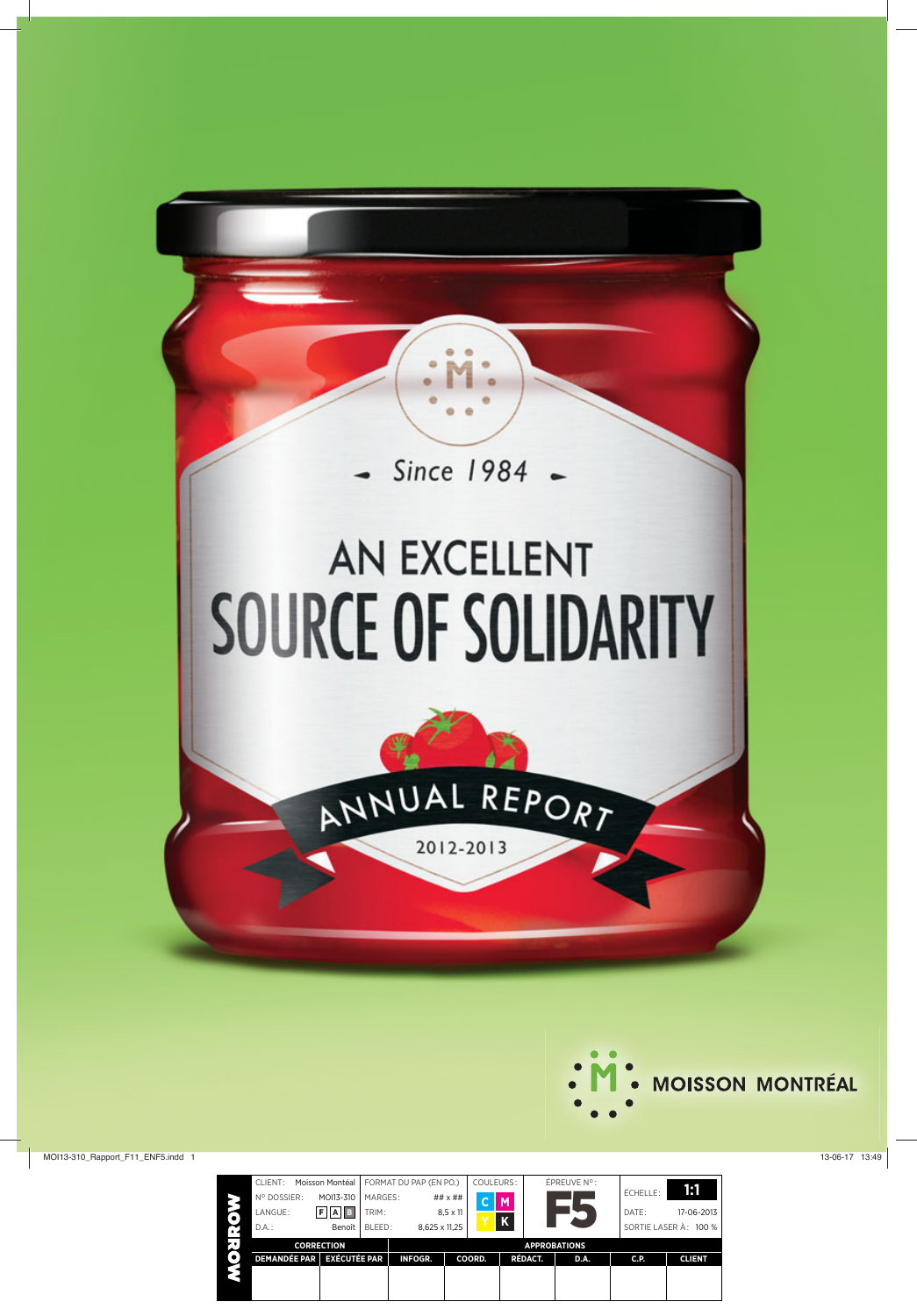

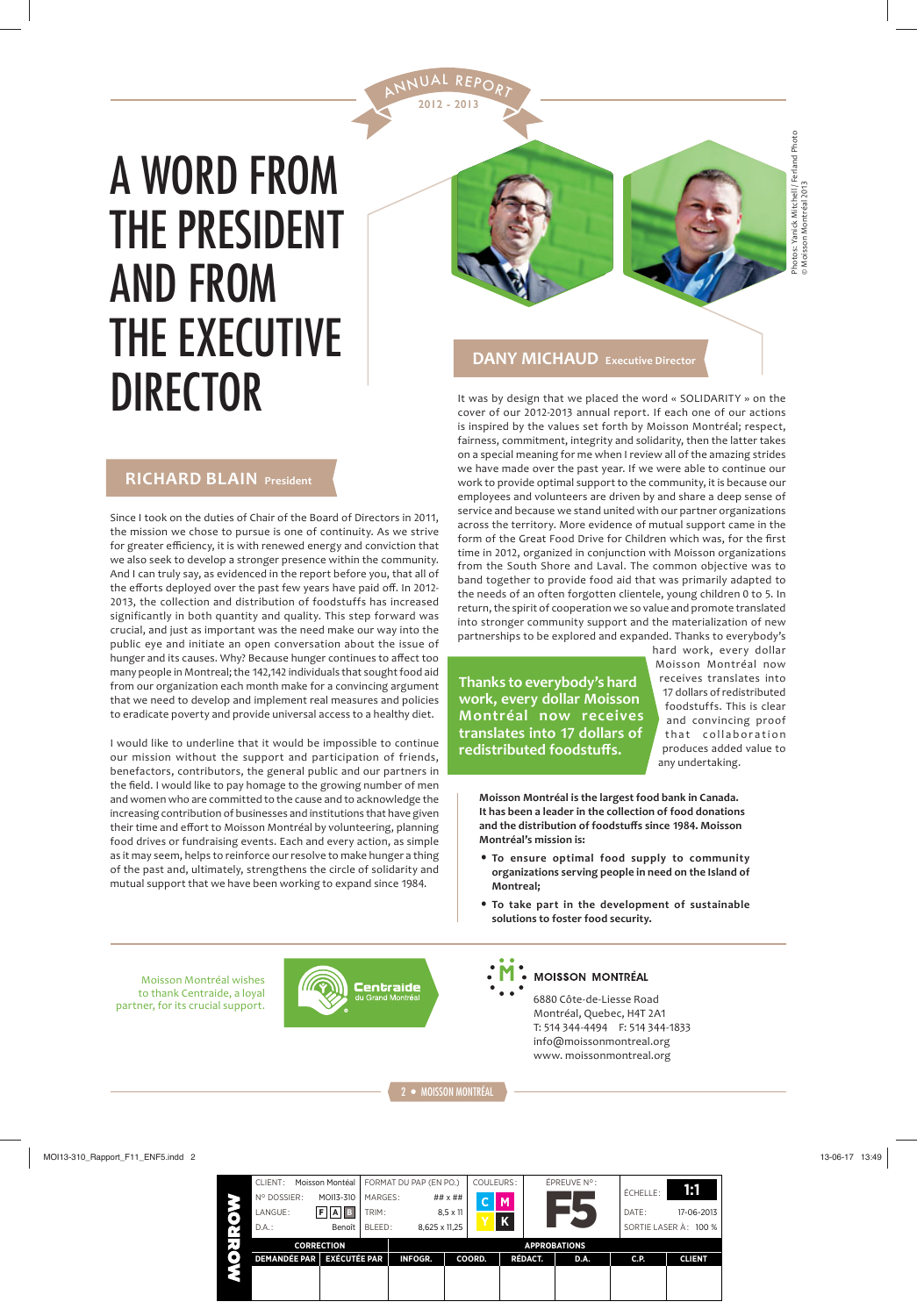# A WORD FROM THE PRESIDENT AND FROM THE EXECUTIVE DIRECTOR It was by design that we placed the word « SOLIDARITY » on the

**RICHARD BLAIN President**

Since I took on the duties of Chair of the Board of Directors in 2011, the mission we chose to pursue is one of continuity. As we strive for greater efficiency, it is with renewed energy and conviction that we also seek to develop a stronger presence within the community. And I can truly say, as evidenced in the report before you, that all of the efforts deployed over the past few years have paid off. In 2012-2013, the collection and distribution of foodstuffs has increased significantly in both quantity and quality. This step forward was crucial, and just as important was the need make our way into the public eye and initiate an open conversation about the issue of hunger and its causes. Why? Because hunger continues to affect too many people in Montreal; the 142,142 individuals that sought food aid from our organization each month make for a convincing argument that we need to develop and implement real measures and policies to eradicate poverty and provide universal access to a healthy diet.

I would like to underline that it would be impossible to continue our mission without the support and participation of friends, benefactors, contributors, the general public and our partners in the field. I would like to pay homage to the growing number of men and women who are committed to the cause and to acknowledge the increasing contribution of businesses and institutions that have given their time and effort to Moisson Montréal by volunteering, planning food drives or fundraising events. Each and every action, as simple as it may seem, helps to reinforce our resolve to make hunger a thing of the past and, ultimately, strengthens the circle of solidarity and mutual support that we have been working to expand since 1984.



2012 - 2013 ANNUAL REPORT

> hotos: Yanick Mitchell / Ferland Photo<br>› Moisson Montréal 2013 Photos: Yanick Mitchell / Ferland Photo © Moisson Montréal 2013

#### **DANY MICHAUD Executive Director**

cover of our 2012-2013 annual report. If each one of our actions is inspired by the values set forth by Moisson Montréal; respect, fairness, commitment, integrity and solidarity, then the latter takes on a special meaning for me when I review all of the amazing strides we have made over the past year. If we were able to continue our work to provide optimal support to the community, it is because our employees and volunteers are driven by and share a deep sense of service and because we stand united with our partner organizations across the territory. More evidence of mutual support came in the form of the Great Food Drive for Children which was, for the first time in 2012, organized in conjunction with Moisson organizations from the South Shore and Laval. The common objective was to band together to provide food aid that was primarily adapted to the needs of an often forgotten clientele, young children 0 to 5. In return, the spirit of cooperation we so value and promote translated into stronger community support and the materialization of new partnerships to be explored and expanded. Thanks to everybody's

**Thanks to everybody's hard work, every dollar Moisson Montréal now receives translates into 17 dollars of redistributed foodstuff s.** 

hard work, every dollar Moisson Montréal now receives translates into 17 dollars of redistributed foodstuffs. This is clear and convincing proof that collaboration produces added value to any undertaking.

**Moisson Montréal is the largest food bank in Canada. It has been a leader in the collection of food donations and the distribution of foodstuff s since ͳͻͺͶ. Moisson Montréal's mission is:**

- **To ensure optimal food supply to community organizations serving people in need on the Island of Montreal;**
- **To take part in the development of sustainable solutions to foster food security.**

Moisson Montréal wishes to thank Centraide, a loyal partner, for its crucial support.





#### **MOISSON MONTRÉAL**

6880 Côte-de-Liesse Road Montréal, Quebec, H4T 2A1 T: 514 344-4494 F: 514 344-1833 info@moissonmontreal.org www. moissonmontreal.org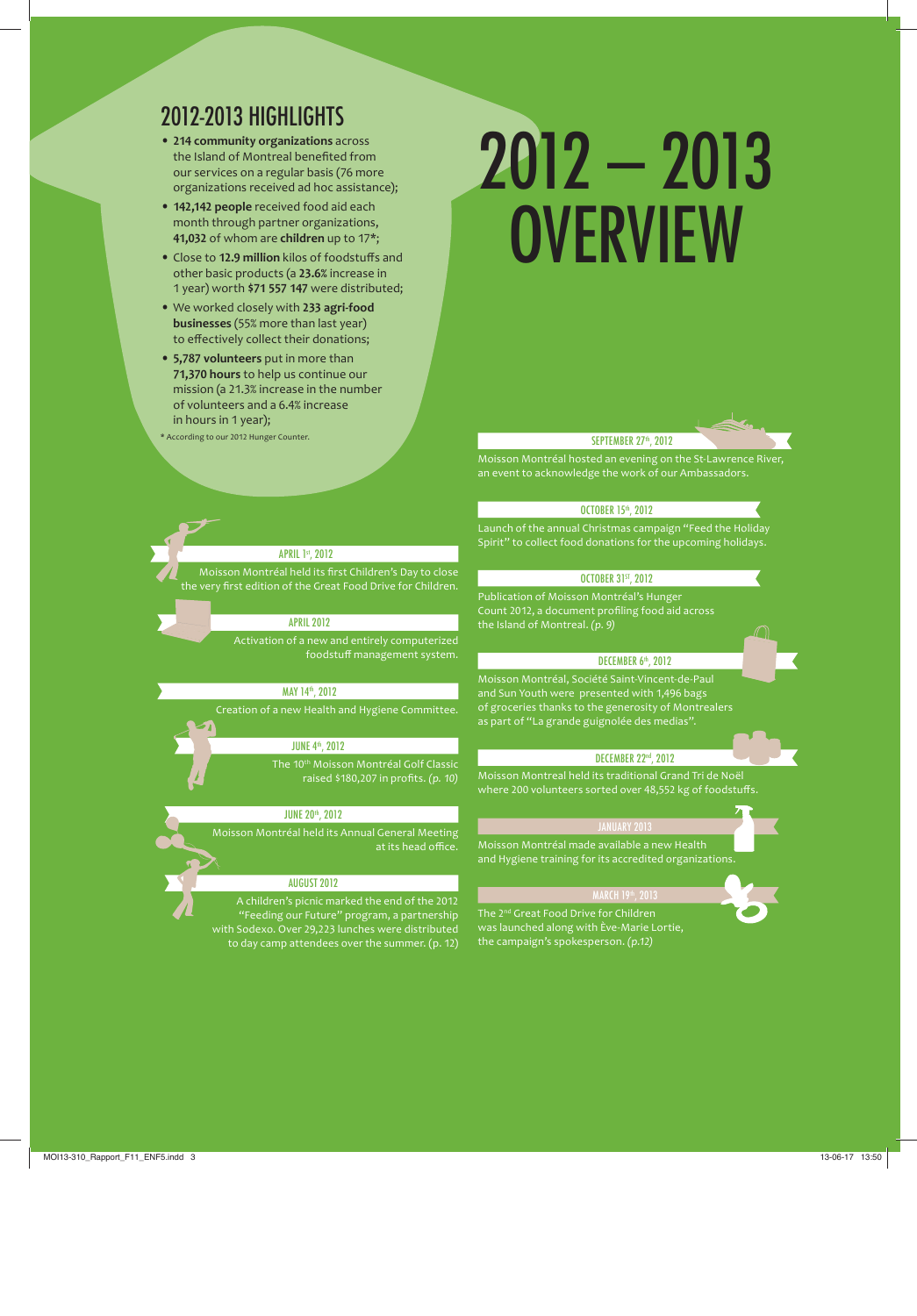# 2012-2013 HIGHLIGHTS

- **214 community organizations** across the Island of Montreal benefited from our services on a regular basis (76 more organizations received ad hoc assistance);
- **142.142 people** received food aid each month through partner organizations, **41,032** of whom are **children** up to 17\*;
- Close to **12.9 million** kilos of foodstuffs and other basic products (a **ʹ͵.%** increase in 1 year) worth \$71 557 147 were distributed;
- We worked closely with 233 agri-food **businesses** (55% more than last year) to effectively collect their donations;
- **ͷ,ͺ volunteers** put in more than **71,370 hours** to help us continue our mission (a 21.3% increase in the number of volunteers and a 6.4% increase in hours in 1 year);
- \* According to our 2012 Hunger Counter.

# 2012 – 2013 **OVERVIEW**

#### SEPTEMBER 27<sup>th</sup>, 2012

Moisson Montréal hosted an evening on the St-Lawrence River, an event to acknowledge the work of our Ambassadors.

#### OCTOBER 15<sup>th</sup>, 2012

Launch of the annual Christmas campaign "Feed the Holiday Spirit" to collect food donations for the upcoming holidays.

#### OCTOBER 31ST, 2012

Publication of Moisson Montréal's Hunger Count 2012, a document profiling food aid across the Island of Montreal. *(p. Ϳ)*

#### DECEMBER 6<sup>th</sup>, 2012

Moisson Montréal, Société Saint-Vincent-de-Paul and Sun Youth were presented with 1,496 bags of groceries thanks to the generosity of Montrealers as part of "La grande guignolée des medias".

#### DECEMBER 22nd, 2012

Moisson Montreal held its traditional Grand Tri de Noël where 200 volunteers sorted over 48,552 kg of foodstuffs.

#### JANUARY 2013

and Hygiene training for its accredited organizations.

#### MARCH 19th, 2013

The 2<sup>nd</sup> Great Food Drive for Children was launched along with Ève-Marie Lortie, the campaign's spokesperson. *(p.ͷ)*

#### **APRIL 1st, 2012**

Moisson Montréal held its first Children's Day to close the very first edition of the Great Food Drive for Children.

#### APRIL 2012

Activation of a new and entirely computerized foodstuff management system.

#### MAY 14th, 2012

Creation of a new Health and Hygiene Committee.

#### JUNE 4th, 2012

The 10<sup>th</sup> Moisson Montréal Golf Classic *raised \$180,207 in profits. (p. 10)* 

#### JUNE 20th, 2012

Moisson Montréal held its Annual General Meeting at its head office.

#### AUGUST 2012

A children's picnic marked the end of the 2012 "Feeding our Future" program, a partnership with Sodexo. Over 29,223 lunches were distributed to day camp attendees over the summer. (p. 12)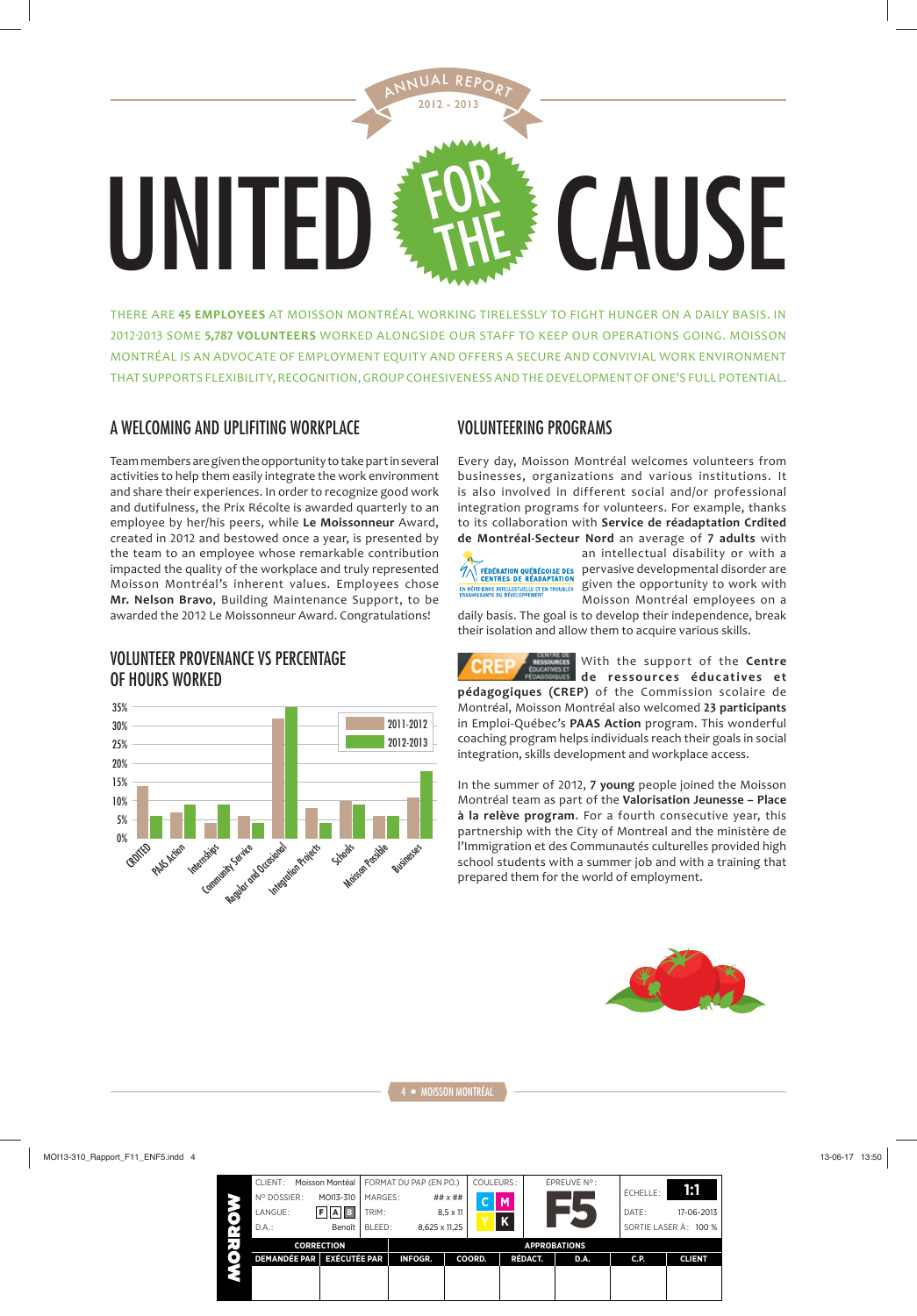

THERE ARE **Ͷͷ EMPLOYEES** AT MOISSON MONTRÉAL WORKING TIRELESSLY TO FIGHT HUNGER ON A DAILY BASIS. IN 2012-2013 SOME 5,787 VOLUNTEERS WORKED ALONGSIDE OUR STAFF TO KEEP OUR OPERATIONS GOING. MOISSON MONTRÉAL IS AN ADVOCATE OF EMPLOYMENT EQUITY AND OFFERS A SECURE AND CONVIVIAL WORK ENVIRONMENT THAT SUPPORTS FLEXIBILITY, RECOGNITION, GROUP COHESIVENESS AND THE DEVELOPMENT OF ONE'S FULL POTENTIAL.

### A WELCOMING AND UPLIFITING WORKPLACE

Team members are given the opportunity to take part in several activities to help them easily integrate the work environment and share their experiences. In order to recognize good work and dutifulness, the Prix Récolte is awarded quarterly to an employee by her/his peers, while **Le Moissonneur** Award, created in 2012 and bestowed once a year, is presented by the team to an employee whose remarkable contribution impacted the quality of the workplace and truly represented Moisson Montréal's inherent values. Employees chose **Mr. Nelson Bravo**, Building Maintenance Support, to be awarded the 2012 Le Moissonneur Award. Congratulations!

#### VOLUNTEER PROVENANCE VS PERCENTAGE OF HOURS WORKED



### VOLUNTEERING PROGRAMS

Every day, Moisson Montréal welcomes volunteers from businesses, organizations and various institutions. It is also involved in different social and/or professional integration programs for volunteers. For example, thanks to its collaboration with **Service de réadaptation Crdited**  de Montréal-Secteur Nord an average of 7 adults with



an intellectual disability or with a  $\mathscr{W}$  EEDERATION QUEBECOISE DES pervasive developmental disorder are IN DERITRES DE READAPTATION<br>ENVIORENCE DITELECTURE ET EN TROUBLES SIVEN the opportunity to work with Moisson Montréal employees on a

daily basis. The goal is to develop their independence, break their isolation and allow them to acquire various skills.

With the support of the **Centre**  de ressources éducatives et **pédagogiques (CREP)** of the Commission scolaire de Montréal, Moisson Montréal also welcomed **ʹ͵ participants** in Emploi-Québec's **PAAS Action** program. This wonderful coaching program helps individuals reach their goals in social integration, skills development and workplace access.

In the summer of 2012, 7 young people joined the Moisson Montréal team as part of the **Valorisation Jeunesse – Place à la relève program**. For a fourth consecutive year, this partnership with the City of Montreal and the ministère de l'Immigration et des Communautés culturelles provided high school students with a summer job and with a training that prepared them for the world of employment.

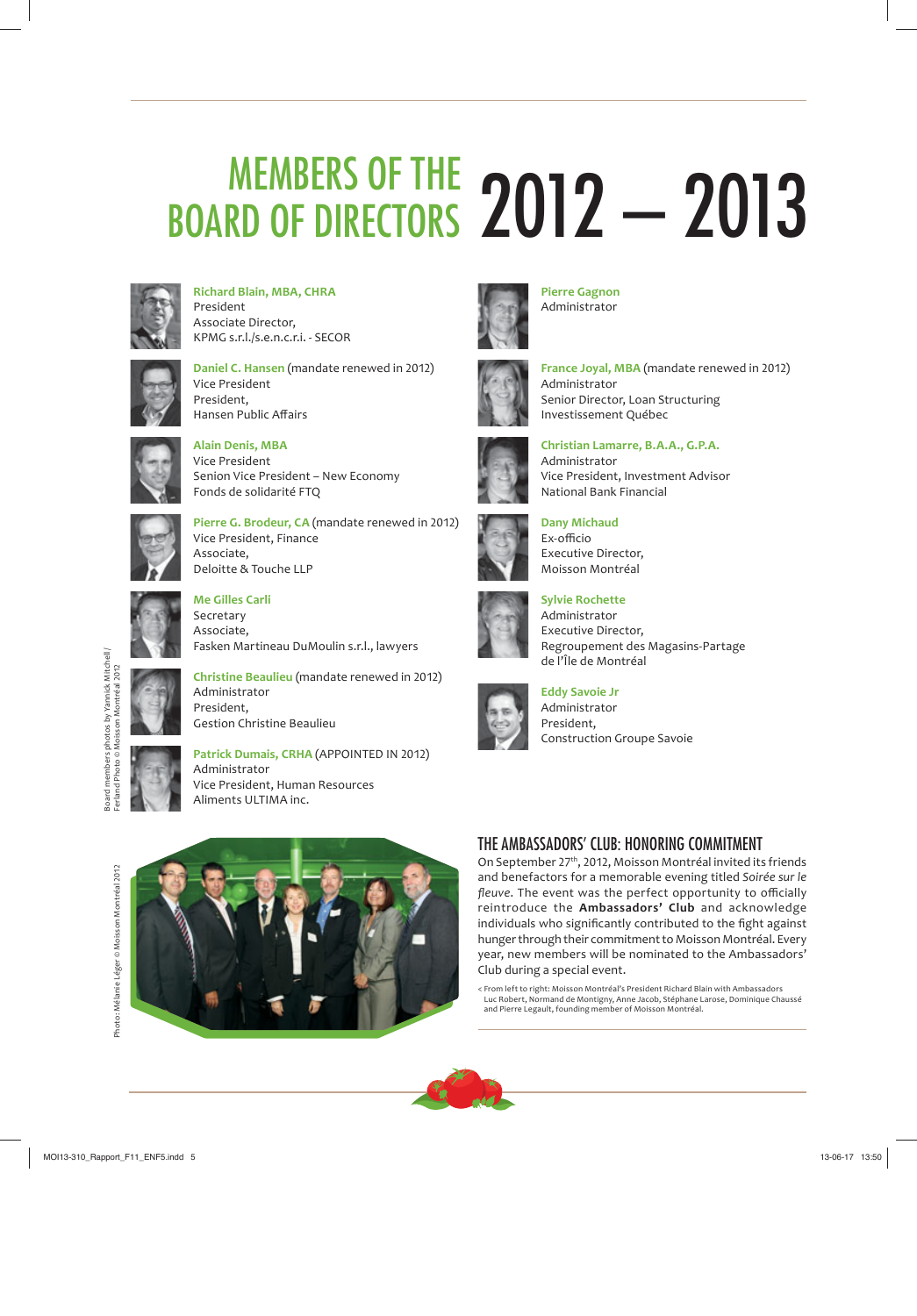# MEMBERS OF THE BOARD OF DIRECTORS 2012 - 2013



**Richard Blain, MBA, CHRA** President Associate Director, KPMG s.r.l./s.e.n.c.r.i. - SECOR



**Daniel C. Hansen** (mandate renewed in 2012) Vice President President, Hansen Public Affairs



**Alain Denis, MBA** Vice President Senion Vice President – New Economy Fonds de solidarité FTQ



Pierre G. Brodeur, CA (mandate renewed in 2012) Vice President, Finance Associate, Deloitte & Touche LLP



**Me Gilles Carli** Secretary Associate, Fasken Martineau DuMoulin s.r.l., lawyers



**Christine Beaulieu** (mandate renewed in 2012) Administrator President, Gestion Christine Beaulieu

**Patrick Dumais, CRHA** (APPOINTED IN 2012) Administrator Vice President, Human Resources Aliments ULTIMA inc.



**Pierre Gagnon** Administrator



**France Joyal, MBA** (mandate renewed in 2012) Administrator Senior Director, Loan Structuring Investissement Québec



Administrator Vice President, Investment Advisor National Bank Financial

**Christian Lamarre, B.A.A., G.P.A.**



**Dany Michaud**  $Exonff$  $C$ io Executive Director, Moisson Montréal



**Sylvie Rochette** Administrator Executive Director, Regroupement des Magasins-Partage de l'Île de Montréal



**Eddy Savoie Jr** Administrator President, Construction Groupe Savoie

Photo: Mélanie Léger © Moisson Montréal 2012 Photo: Mélanie Léger © Moisson Montréal 2012



# THE AMBASSADORS' CLUB: HONORING COMMITMENT

On September 27<sup>th</sup>, 2012, Moisson Montréal invited its friends and benefactors for a memorable evening titled *Soirée sur le*  fleuve. The event was the perfect opportunity to officially reintroduce the **Ambassadors' Club** and acknowledge individuals who significantly contributed to the fight against hunger through their commitment to Moisson Montréal. Every year, new members will be nominated to the Ambassadors' Club during a special event.

< From left to right: Moisson Montréal's President Richard Blain with Ambassadors Luc Robert, Normand de Montigny, Anne Jacob, Stéphane Larose, Dominique Chaussé and Pierre Legault, founding member of Moisson Montréal.

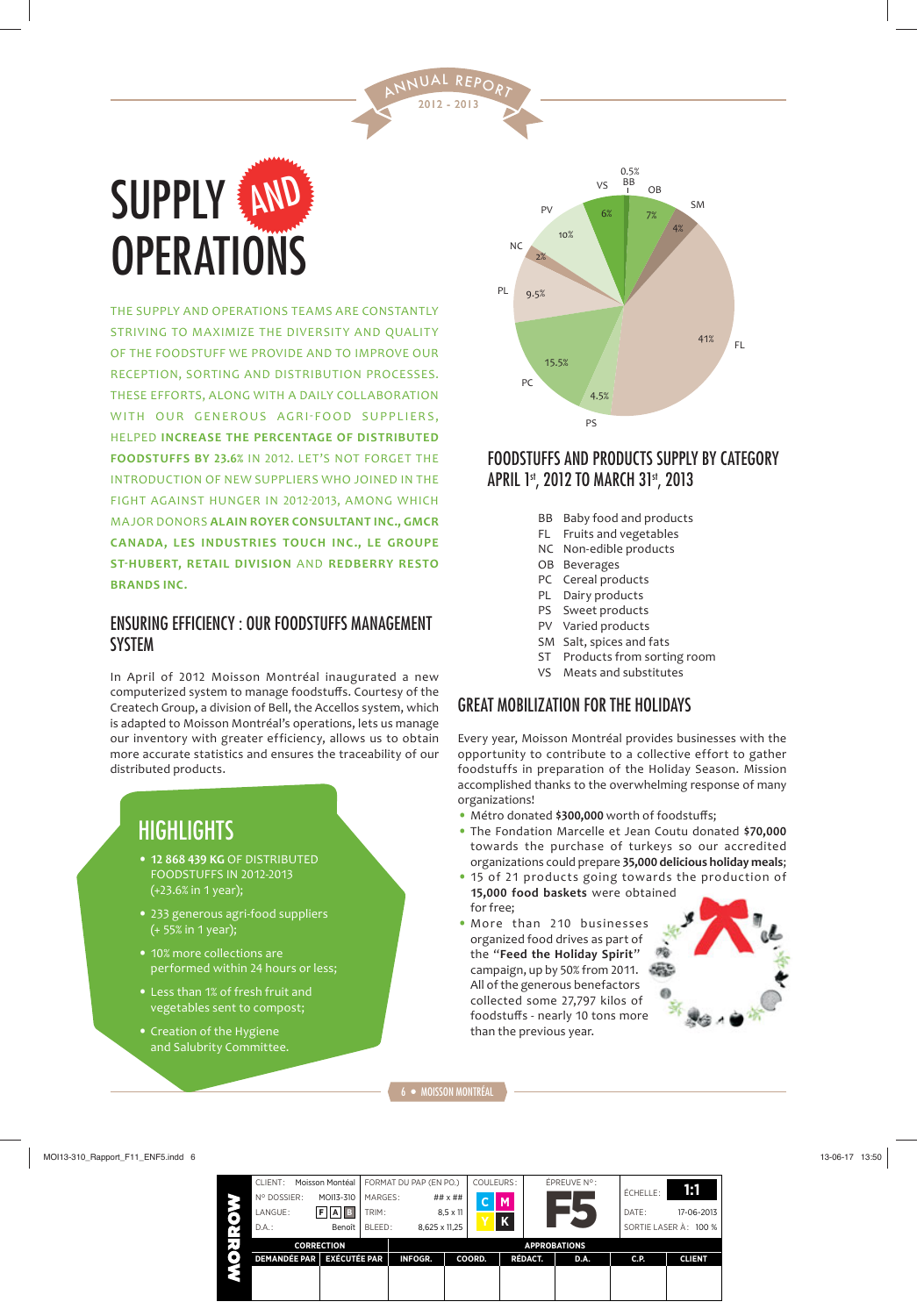

THE SUPPLY AND OPERATIONS TEAMS ARE CONSTANTLY STRIVING TO MAXIMIZE THE DIVERSITY AND QUALITY OF THE FOODSTUFF WE PROVIDE AND TO IMPROVE OUR RECEPTION, SORTING AND DISTRIBUTION PROCESSES. THESE EFFORTS, ALONG WITH A DAILY COLLABORATION WITH OUR GENEROUS AGRI-FOOD SUPPLIERS, HELPED **INCREASE THE PERCENTAGE OF DISTRIBUTED FOODSTUFFS BY 23.6% IN 2012. LET'S NOT FORGET THE** INTRODUCTION OF NEW SUPPLIERS WHO JOINED IN THE FIGHT AGAINST HUNGER IN 2012-2013, AMONG WHICH MAJOR DONORS **ALAIN ROYER CONSULTANT INC., GMCR CANADA, LES INDUSTRIES TOUCH INC., LE GROUPE ST‐HUBERT, RETAIL DIVISION** AND **REDBERRY RESTO BRANDS INC.** 

#### ENSURING EFFICIENCY : OUR FOODSTUFFS MANAGEMENT **SYSTEM**

In April of 2012 Moisson Montréal inaugurated a new computerized system to manage foodstuffs. Courtesy of the Createch Group, a division of Bell, the Accellos system, which is adapted to Moisson Montréal's operations, lets us manage our inventory with greater efficiency, allows us to obtain more accurate statistics and ensures the traceability of our distributed products.

# **HIGHLIGHTS**

- **12 868 439 KG OF DISTRIBUTED** FOODSTUFFS IN 2012-2013 (+23.6% in 1 year);
- 233 generous agri-food suppliers (+ 55% in 1 year);
- 10% more collections are performed within 24 hours or less;
- Less than 1% of fresh fruit and vegetables sent to compost;
- Creation of the Hygiene and Salubrity Committee.



## FOODSTUFFS AND PRODUCTS SUPPLY BY CATEGORY APRIL 1st, 2012 TO MARCH 31st, 2013

- BB Baby food and products
- FL Fruits and vegetables
- NC Non-edible products
- OB Beverages
- PC Cereal products
- PL Dairy products
- PS Sweet products
- PV Varied products
- SM Salt, spices and fats
- ST Products from sorting room
- VS Meats and substitutes

### GREAT MOBILIZATION FOR THE HOLIDAYS

Every year, Moisson Montréal provides businesses with the opportunity to contribute to a collective effort to gather foodstuffs in preparation of the Holiday Season. Mission accomplished thanks to the overwhelming response of many organizations!

- Métro donated \$300,000 worth of foodstuffs;
- The Fondation Marcelle et Jean Coutu donated \$70,000 towards the purchase of turkeys so our accredited organizations could prepare 35,000 delicious holiday meals;
- 15 of 21 products going towards the production of 15,000 food baskets were obtained for free;
- More than 210 businesses organized food drives as part of the "**Feed the Holiday Spirit**" campaign, up by 50% from 2011. All of the generous benefactors collected some 27,797 kilos of foodstuffs - nearly 10 tons more than the previous year.



2012 - 2013 NUAL REPO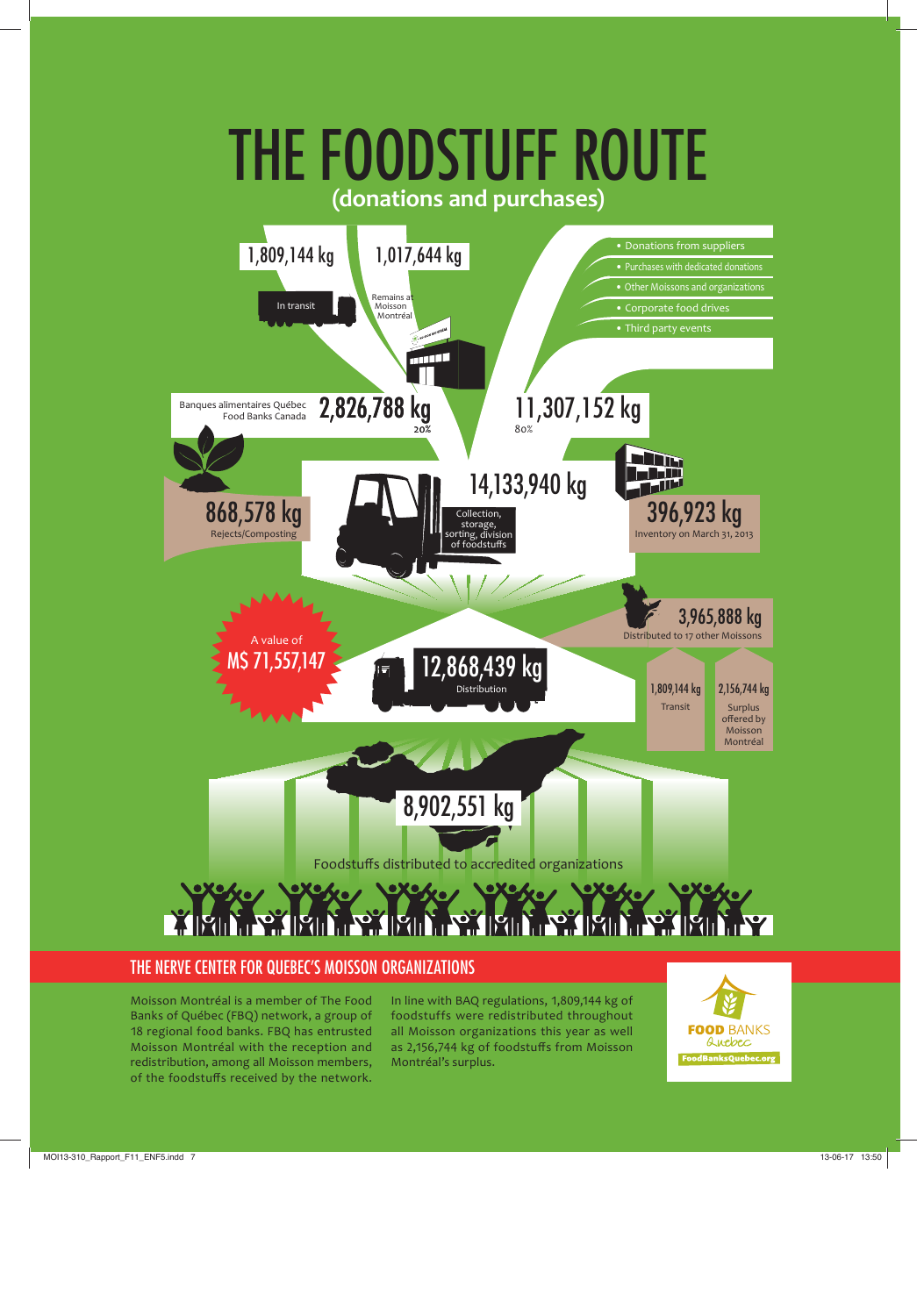

#### THE NERVE CENTER FOR QUEBEC'S MOISSON ORGANIZATIONS

Moisson Montréal is a member of The Food Banks of Québec (FBQ) network, a group of 18 regional food banks. FBQ has entrusted Moisson Montréal with the reception and redistribution, among all Moisson members, of the foodstuffs received by the network. In line with BAQ regulations, 1,809,144 kg of foodstuffs were redistributed throughout all Moisson organizations this year as well as 2,156,744 kg of foodstuffs from Moisson Montréal's surplus.

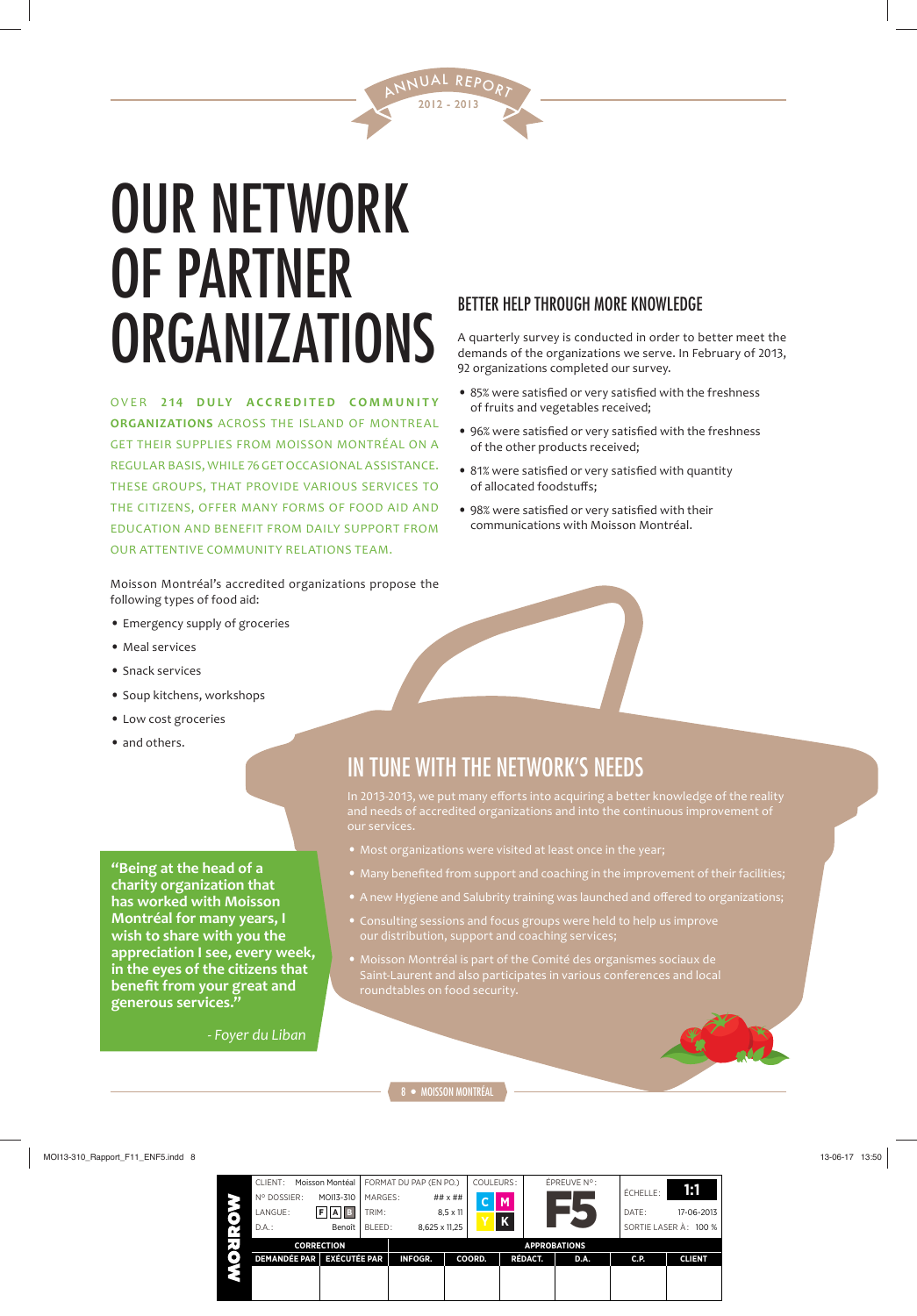

# OUR NETWORK OF PARTNER **ORGANIZATIONS**

**OVER 214 DULY ACCREDITED COMMUNITY ORGANIZATIONS** ACROSS THE ISLAND OF MONTREAL GET THEIR SUPPLIES FROM MOISSON MONTRÉAL ON A REGULAR BASIS, WHILE 76 GET OCCASIONAL ASSISTANCE. THESE GROUPS, THAT PROVIDE VARIOUS SERVICES TO THE CITIZENS, OFFER MANY FORMS OF FOOD AID AND EDUCATION AND BENEFIT FROM DAILY SUPPORT FROM OUR ATTENTIVE COMMUNITY RELATIONS TEAM.

Moisson Montréal's accredited organizations propose the following types of food aid:

- Emergency supply of groceries
- Meal services
- Snack services
- Soup kitchens, workshops
- Low cost groceries
- and others.

**"Being at the head of a charity organization that has worked with Moisson Montréal for many years, I wish to share with you the appreciation I see, every week, in the eyes of the citizens that benefit from your great and generous services."**

*- Foyer du Liban*

#### BETTER HELP THROUGH MORE KNOWLEDGE

A quarterly survey is conducted in order to better meet the demands of the organizations we serve. In February of 2013, 92 organizations completed our survey.

- 85% were satisfied or very satisfied with the freshness of fruits and vegetables received;
- 96% were satisfied or very satisfied with the freshness of the other products received;
- 81% were satisfied or very satisfied with quantity of allocated foodstuffs;
- 98% were satisfied or very satisfied with their communications with Moisson Montréal.

IN TUNE WITH THE NETWORK'S NEEDS

In 2013-2013, we put many efforts into acquiring a better knowledge of the reality our services.

- 
- Many benefited from support and coaching in the improvement of their facilities;
- A new Hygiene and Salubrity training was launched and offered to organizations;
- Consulting sessions and focus groups were held to help us improve our distribution, support and coaching services;
- Saint-Laurent and also participates in various conferences and local

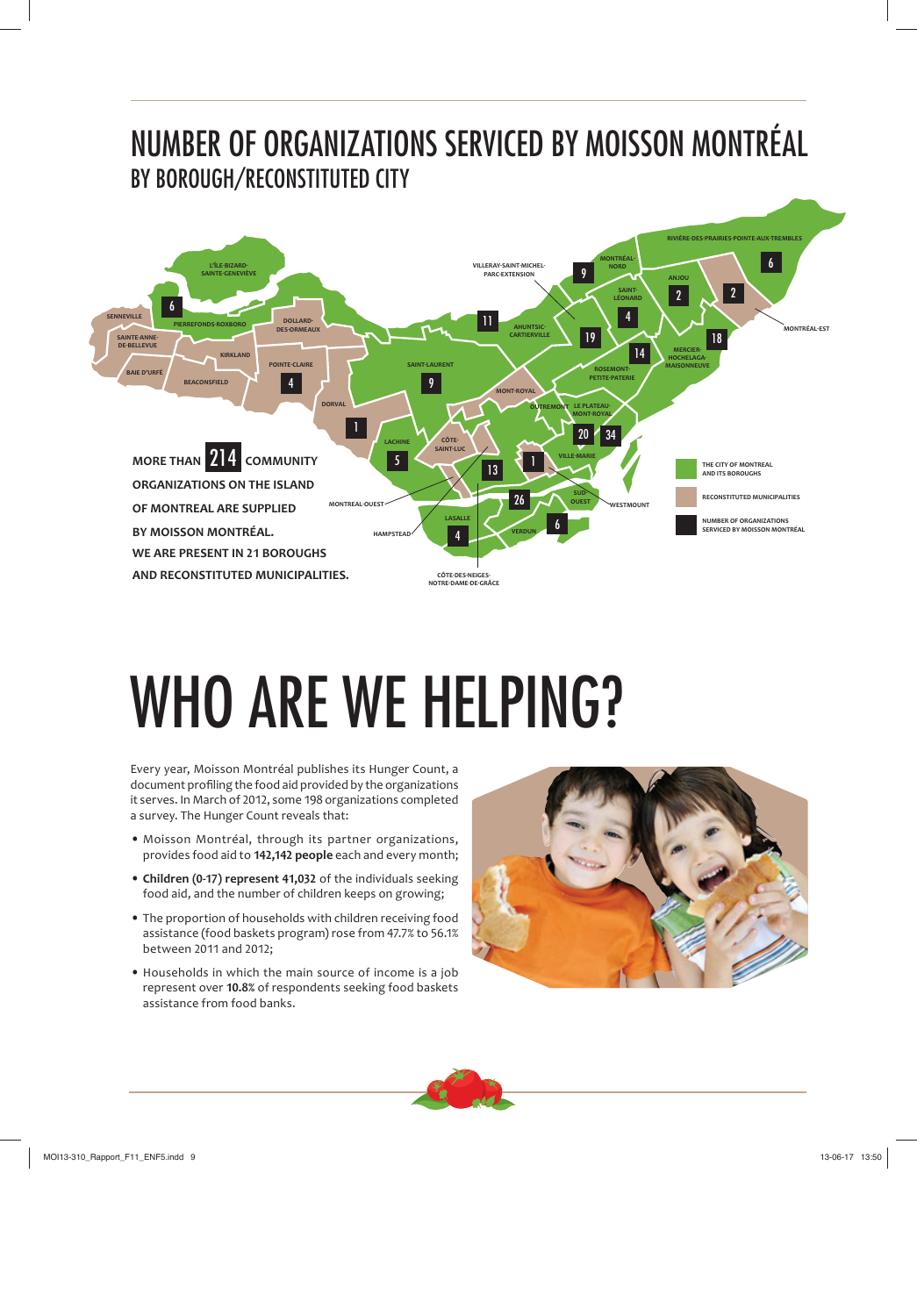# NUMBER OF ORGANIZATIONS SERVICED BY MOISSON MONTRÉAL BY BOROUGH/RECONSTITUTED CITY



# WHO ARE WE HELPING?

Every year, Moisson Montréal publishes its Hunger Count, a document profiling the food aid provided by the organizations it serves. In March of 2012, some 198 organizations completed a survey. The Hunger Count reveals that:

- Moisson Montréal, through its partner organizations, provides food aid to 142,142 people each and every month;
- **Children (0-17) represent 41,032** of the individuals seeking food aid, and the number of children keeps on growing;
- The proportion of households with children receiving food assistance (food baskets program) rose from 47.7% to 56.1% between 2011 and 2012;
- Households in which the main source of income is a job represent over **ͳͲ.ͺ%** of respondents seeking food baskets assistance from food banks.



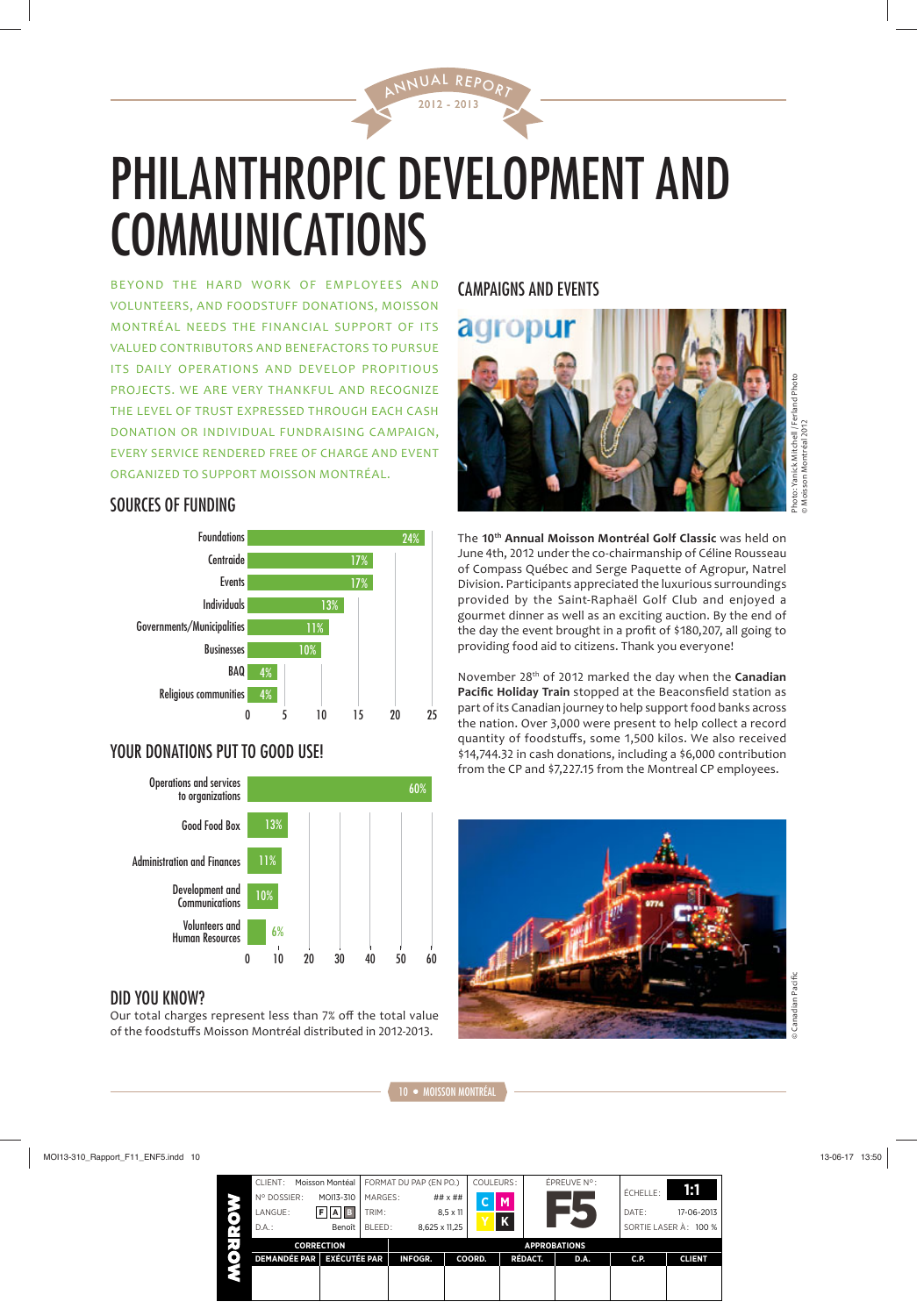

2012 - 2013 AL REP.

BE YOND THE HARD WORK OF EMPLOYEES AND VOLUNTEERS, AND FOODSTUFF DONATIONS, MOISSON MONTRÉAL NEEDS THE FINANCIAL SUPPORT OF ITS VALUED CONTRIBUTORS AND BENEFACTORS TO PURSUE ITS DAILY OPERATIONS AND DEVELOP PROPITIOUS PROJECTS. WE ARE VERY THANKFUL AND RECOGNIZE THE LEVEL OF TRUST EXPRESSED THROUGH EACH CASH DONATION OR INDIVIDUAL FUNDRAISING CAMPAIGN, EVERY SERVICE RENDERED FREE OF CHARGE AND EVENT ORGANIZED TO SUPPORT MOISSON MONTRÉAL.

#### SOURCES OF FUNDING



### YOUR DONATIONS PUT TO GOOD USE!



#### DID YOU KNOW?

Our total charges represent less than 7% off the total value of the foodstuffs Moisson Montréal distributed in 2012-2013.

# CAMPAIGNS AND EVENTS



Photo: Yanick Mitchell / Ferland Photo hoto: Yanick Mitchell / Ferland Pho Moisson Montréal 2012 © Moisson Montréal 2012

**The 10<sup>th</sup> Annual Moisson Montréal Golf Classic** was held on June 4th, 2012 under the co-chairmanship of Céline Rousseau of Compass Québec and Serge Paquette of Agropur, Natrel Division. Participants appreciated the luxurious surroundings provided by the Saint-Raphaël Golf Club and enjoyed a gourmet dinner as well as an exciting auction. By the end of the day the event brought in a profit of \$180,207, all going to providing food aid to citizens. Thank you everyone!

November 28<sup>th</sup> of 2012 marked the day when the **Canadian Pacific Holiday Train** stopped at the Beaconsfield station as part of its Canadian journey to help support food banks across the nation. Over 3,000 were present to help collect a record quantity of foodstuffs, some 1,500 kilos. We also received \$14,744.32 in cash donations, including a \$6,000 contribution from the CP and \$7.227.15 from the Montreal CP employees.

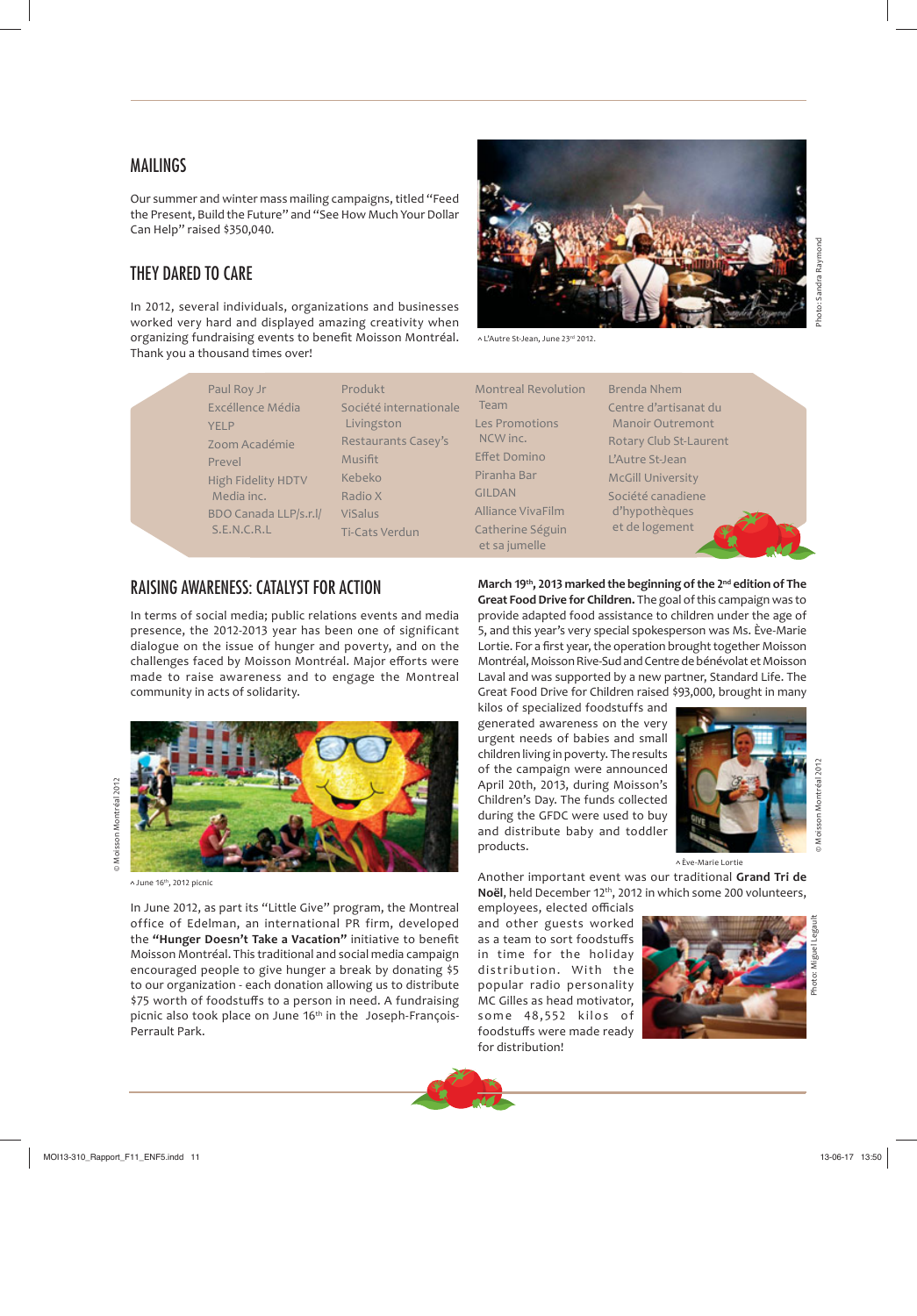#### **MAILINGS**

Our summer and winter mass mailing campaigns, titled "Feed the Present, Build the Future" and "See How Much Your Dollar Can Help" raised \$350,040.

#### THEY DARED TO CARE

In 2012, several individuals, organizations and businesses worked very hard and displayed amazing creativity when organizing fundraising events to benefit Moisson Montréal. Thank you a thousand times over!

Produkt

Musifit Kebeko Radio X ViSalus

Livingston

 $∧$  L'Autre St-Jean, June 23<sup>rd</sup> 2012.

Société internationale Restaurants Casey's Ti-Cats Verdun Montreal Revolution Team Les Promotions NCW inc. **Effet Domino** Piranha Bar GILDAN Alliance VivaFilm Catherine Séguin et sa jumelle

Brenda Nhem Centre d'artisanat du Manoir Outremont Rotary Club St-Laurent L'Autre St-Jean McGill University Société canadiene d'hypothèques et de logement

#### RAISING AWARENESS: CATALYST FOR ACTION

Paul Roy Jr Excéllence Média

Zoom Académie

High Fidelity HDTV Media inc.

BDO Canada LLP/s.r.l/ S.E.N.C.R.L

YELP

Prevel

In terms of social media; public relations events and media presence, the 2012-2013 year has been one of significant dialogue on the issue of hunger and poverty, and on the challenges faced by Moisson Montréal. Major efforts were made to raise awareness and to engage the Montreal community in acts of solidarity.



 $\land$  June 16<sup>th</sup>, 2012 picnic

In June 2012, as part its "Little Give" program, the Montreal office of Edelman, an international PR firm, developed the "Hunger Doesn't Take a Vacation" initiative to benefit Moisson Montréal. This traditional and social media campaign encouraged people to give hunger a break by donating \$5 to our organization - each donation allowing us to distribute \$75 worth of foodstuffs to a person in need. A fundraising picnic also took place on June 16<sup>th</sup> in the Joseph-François-Perrault Park.

**March 19<sup>th</sup>, 2013 marked the beginning of the 2<sup>nd</sup> edition of The Great Food Drive for Children.** The goal of this campaign was to provide adapted food assistance to children under the age of 5, and this year's very special spokesperson was Ms. Ève-Marie Lortie. For a first year, the operation brought together Moisson Montréal, Moisson Rive-Sud and Centre de bénévolat et Moisson Laval and was supported by a new partner, Standard Life. The Great Food Drive for Children raised \$93,000, brought in many

kilos of specialized foodstuffs and generated awareness on the very urgent needs of babies and small children living in poverty. The results of the campaign were announced April 20th, 2013, during Moisson's Children's Day. The funds collected during the GFDC were used to buy and distribute baby and toddler products.



Moisson Montréal 20

Ève-Marie Lortie

Another important event was our traditional **Grand Tri de Noël**, held December 12<sup>th</sup>, 2012 in which some 200 volunteers,

employees, elected officials and other guests worked as a team to sort foodstuffs in time for the holiday distribution. With the popular radio personality MC Gilles as head motivator, some 48,552 kilos of foodstuffs were made ready for distribution!

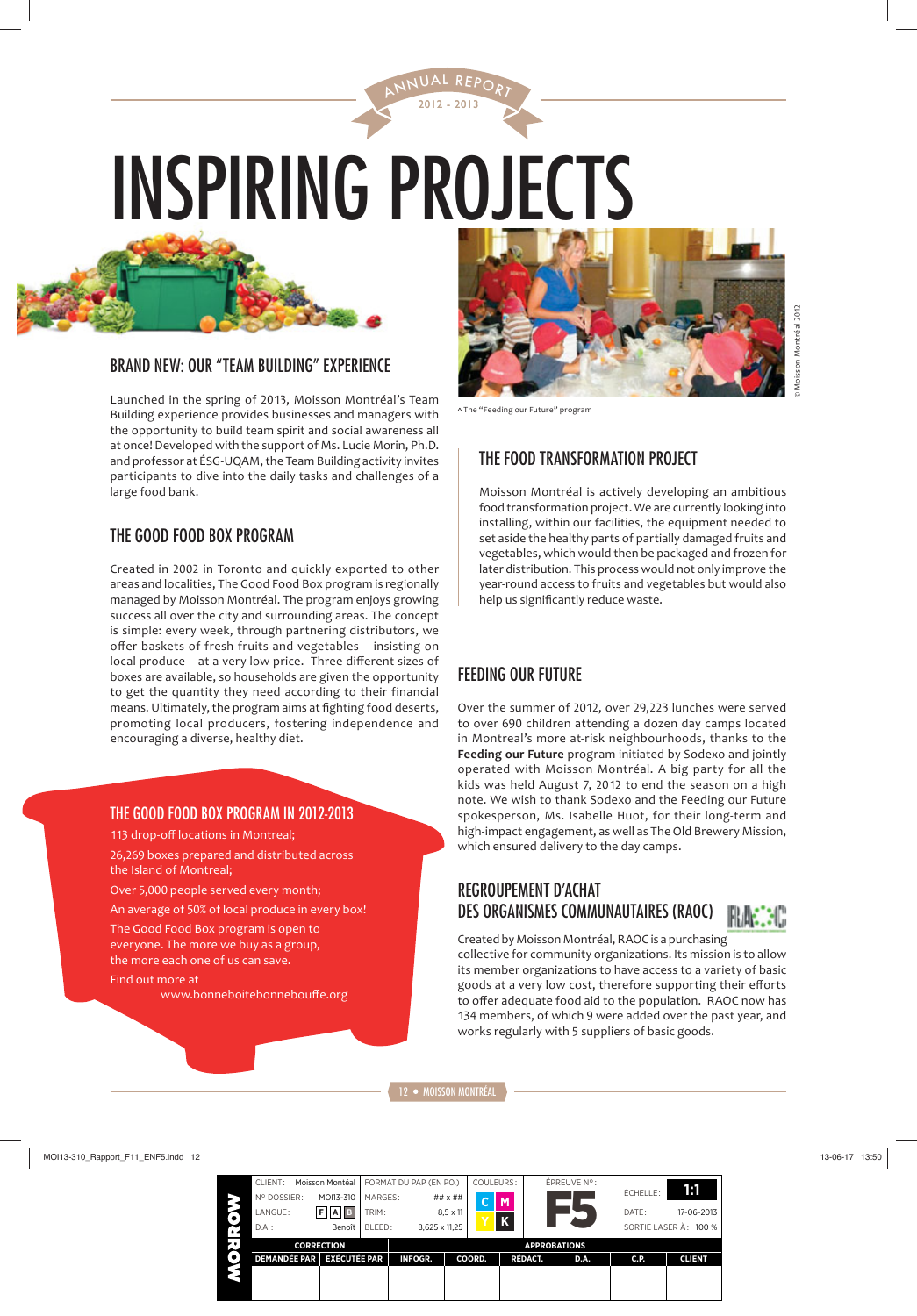# INSPIRING PROJECTS

2012 - 2013 UAL REP.



### BRAND NEW: OUR "TEAM BUILDING" EXPERIENCE

Launched in the spring of 2013, Moisson Montréal's Team Building experience provides businesses and managers with the opportunity to build team spirit and social awareness all at once! Developed with the support of Ms. Lucie Morin, Ph.D. and professor at ÉSG-UQAM, the Team Building activity invites participants to dive into the daily tasks and challenges of a large food bank.

#### THE GOOD FOOD BOX PROGRAM

Created in 2002 in Toronto and quickly exported to other areas and localities, The Good Food Box program is regionally managed by Moisson Montréal. The program enjoys growing success all over the city and surrounding areas. The concept is simple: every week, through partnering distributors, we offer baskets of fresh fruits and vegetables - insisting on local produce – at a very low price. Three different sizes of boxes are available, so households are given the opportunity to get the quantity they need according to their financial means. Ultimately, the program aims at fighting food deserts, promoting local producers, fostering independence and encouraging a diverse, healthy diet.

#### THE GOOD FOOD BOX PROGRAM IN 2012-2013

113 drop-off locations in Montreal;

26,269 boxes prepared and distributed across the Island of Montreal;

Over 5,000 people served every month;

An average of 50% of local produce in every box!

The Good Food Box program is open to everyone. The more we buy as a group, the more each one of us can save.

Find out more at

www.bonneboitebonnebouffe.org



^ The "Feeding our Future" program

# THE FOOD TRANSFORMATION PROJECT

Moisson Montréal is actively developing an ambitious food transformation project. We are currently looking into installing, within our facilities, the equipment needed to set aside the healthy parts of partially damaged fruits and vegetables, which would then be packaged and frozen for later distribution. This process would not only improve the year-round access to fruits and vegetables but would also help us significantly reduce waste.

# FEEDING OUR FUTURE

Over the summer of 2012, over 29,223 lunches were served to over 690 children attending a dozen day camps located in Montreal's more at-risk neighbourhoods, thanks to the **Feeding our Future** program initiated by Sodexo and jointly operated with Moisson Montréal. A big party for all the kids was held August 7, 2012 to end the season on a high note. We wish to thank Sodexo and the Feeding our Future spokesperson, Ms. Isabelle Huot, for their long-term and high-impact engagement, as well as The Old Brewery Mission, which ensured delivery to the day camps.

### REGROUPEMENT D'ACHAT DES ORGANISMES COMMUNAUTAIRES (RAOC)



Created by Moisson Montréal, RAOC is a purchasing collective for community organizations. Its mission is to allow its member organizations to have access to a variety of basic goods at a very low cost, therefore supporting their efforts to offer adequate food aid to the population. RAOC now has 134 members, of which 9 were added over the past year, and works regularly with 5 suppliers of basic goods.